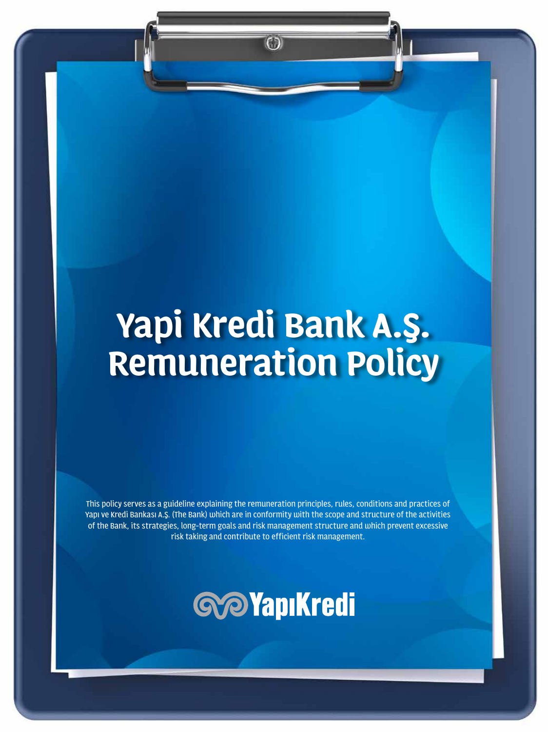# **Yapi Kredi Bank A.Ş. Remuneration Policy**

GD)

This policy serves as a guideline explaining the remuneration principles, rules, conditions and practices of Yapı ve Kredi Bankası A.Ş. (The Bank) which are in conformity with the scope and structure of the activities of the Bank, its strategies, long-term goals and risk management structure and which prevent excessive risk taking and contribute to efficient risk management.

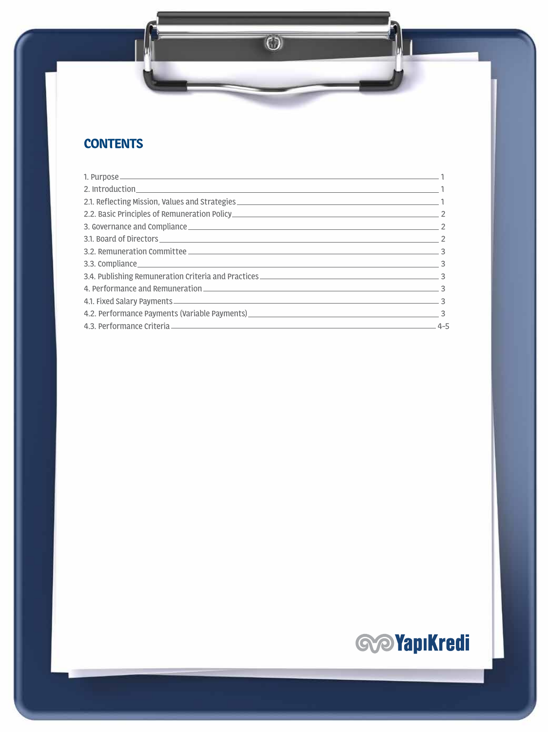## **CONTENTS**

| 3. Governance and Compliance 22                                                                                                                                                                                                |  |
|--------------------------------------------------------------------------------------------------------------------------------------------------------------------------------------------------------------------------------|--|
| 3.1. Board of Directors 2                                                                                                                                                                                                      |  |
| 3.2. Remuneration Committee                                                                                                                                                                                                    |  |
| 3.3. Compliance 3.3. Compliance 3.3. Compliance 3.3. Compliance 3.3. Compliance 3.3. Compliance 3.3. Compliance 3.3. Compliance 3.3. Compliance 3.3. Compliance 3.3. Compliance 3.3. Compliance 3.3. Compliance 3.3. Complianc |  |
|                                                                                                                                                                                                                                |  |
| 4. Performance and Remuneration 3                                                                                                                                                                                              |  |
|                                                                                                                                                                                                                                |  |
|                                                                                                                                                                                                                                |  |
|                                                                                                                                                                                                                                |  |

 $\overline{\mathbb{O}}$ 

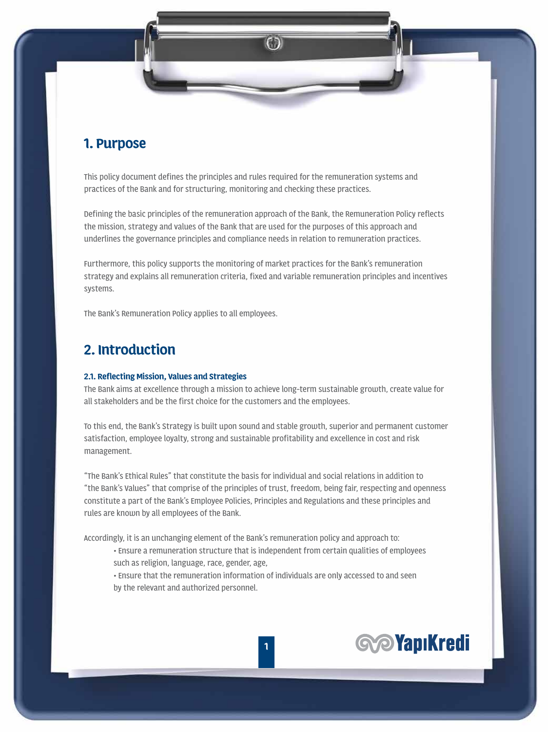### **1. Purpose**

This policy document defines the principles and rules required for the remuneration systems and practices of the Bank and for structuring, monitoring and checking these practices.

Defining the basic principles of the remuneration approach of the Bank, the Remuneration Policy reflects the mission, strategy and values of the Bank that are used for the purposes of this approach and underlines the governance principles and compliance needs in relation to remuneration practices.

Furthermore, this policy supports the monitoring of market practices for the Bank's remuneration strategy and explains all remuneration criteria, fixed and variable remuneration principles and incentives systems.

The Bank's Remuneration Policy applies to all employees.

## **2. Introduction**

#### **2.1. Reflecting Mission, Values and Strategies**

The Bank aims at excellence through a mission to achieve long-term sustainable growth, create value for all stakeholders and be the first choice for the customers and the employees.

To this end, the Bank's Strategy is built upon sound and stable growth, superior and permanent customer satisfaction, employee loyalty, strong and sustainable profitability and excellence in cost and risk management.

"The Bank's Ethical Rules" that constitute the basis for individual and social relations in addition to "the Bank's Values" that comprise of the principles of trust, freedom, being fair, respecting and openness constitute a part of the Bank's Employee Policies, Principles and Regulations and these principles and rules are known by all employees of the Bank.

Accordingly, it is an unchanging element of the Bank's remuneration policy and approach to:

• Ensure a remuneration structure that is independent from certain qualities of employees

such as religion, language, race, gender, age,

 • Ensure that the remuneration information of individuals are only accessed to and seen by the relevant and authorized personnel.

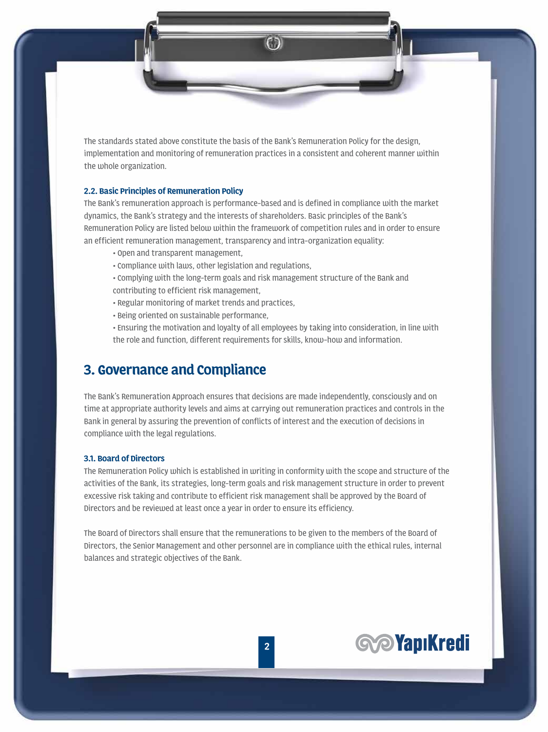The standards stated above constitute the basis of the Bank's Remuneration Policy for the design, implementation and monitoring of remuneration practices in a consistent and coherent manner within the whole organization.

#### **2.2. Basic Principles of Remuneration Policy**

The Bank's remuneration approach is performance-based and is defined in compliance with the market dynamics, the Bank's strategy and the interests of shareholders. Basic principles of the Bank's Remuneration Policy are listed below within the framework of competition rules and in order to ensure an efficient remuneration management, transparency and intra-organization equality:

- Open and transparent management,
- Compliance with laws, other legislation and regulations,
- Complying with the long-term goals and risk management structure of the Bank and
- contributing to efficient risk management,
- Regular monitoring of market trends and practices,
- Being oriented on sustainable performance,
- Ensuring the motivation and loyalty of all employees by taking into consideration, in line with the role and function, different requirements for skills, know-how and information.

## **3. Governance and Compliance**

The Bank's Remuneration Approach ensures that decisions are made independently, consciously and on time at appropriate authority levels and aims at carrying out remuneration practices and controls in the Bank in general by assuring the prevention of conflicts of interest and the execution of decisions in compliance with the legal regulations.

#### **3.1. Board of Directors**

The Remuneration Policy which is established in writing in conformity with the scope and structure of the activities of the Bank, its strategies, long-term goals and risk management structure in order to prevent excessive risk taking and contribute to efficient risk management shall be approved by the Board of Directors and be reviewed at least once a year in order to ensure its efficiency.

The Board of Directors shall ensure that the remunerations to be given to the members of the Board of Directors, the Senior Management and other personnel are in compliance with the ethical rules, internal balances and strategic objectives of the Bank.

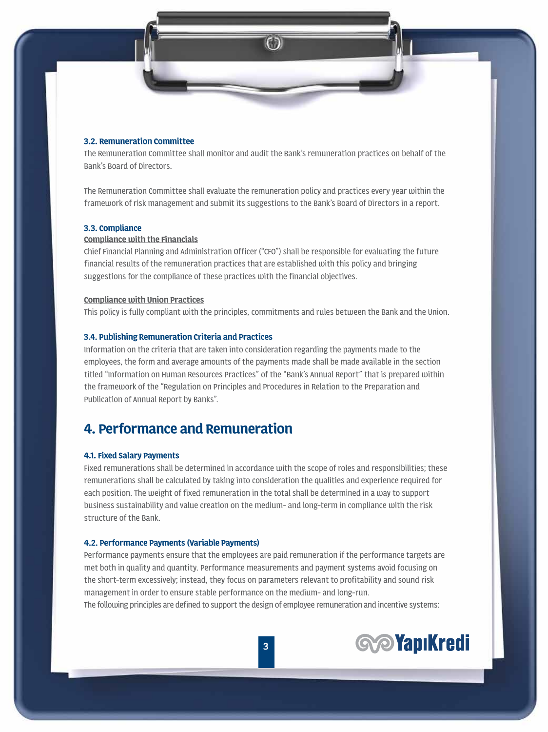#### **3.2. Remuneration Committee**

The Remuneration Committee shall monitor and audit the Bank's remuneration practices on behalf of the Bank's Board of Directors.

The Remuneration Committee shall evaluate the remuneration policy and practices every year within the framework of risk management and submit its suggestions to the Bank's Board of Directors in a report.

#### **3.3. Compliance**

#### **Compliance with the Financials**

Chief Financial Planning and Administration Officer ("CFO") shall be responsible for evaluating the future financial results of the remuneration practices that are established with this policy and bringing suggestions for the compliance of these practices with the financial objectives.

#### **Compliance with Union Practices**

This policy is fully compliant with the principles, commitments and rules between the Bank and the Union.

#### **3.4. Publishing Remuneration Criteria and Practices**

Information on the criteria that are taken into consideration regarding the payments made to the employees, the form and average amounts of the payments made shall be made available in the section titled "Information on Human Resources Practices" of the "Bank's Annual Report" that is prepared within the framework of the "Regulation on Principles and Procedures in Relation to the Preparation and Publication of Annual Report by Banks".

## **4. Performance and Remuneration**

#### **4.1. Fixed Salary Payments**

Fixed remunerations shall be determined in accordance with the scope of roles and responsibilities; these remunerations shall be calculated by taking into consideration the qualities and experience required for each position. The weight of fixed remuneration in the total shall be determined in a way to support business sustainability and value creation on the medium- and long-term in compliance with the risk structure of the Bank.

#### **4.2. Performance Payments (Variable Payments)**

Performance payments ensure that the employees are paid remuneration if the performance targets are met both in quality and quantity. Performance measurements and payment systems avoid focusing on the short-term excessively; instead, they focus on parameters relevant to profitability and sound risk management in order to ensure stable performance on the medium- and long-run. The following principles are defined to support the design of employee remuneration and incentive systems:

**3**

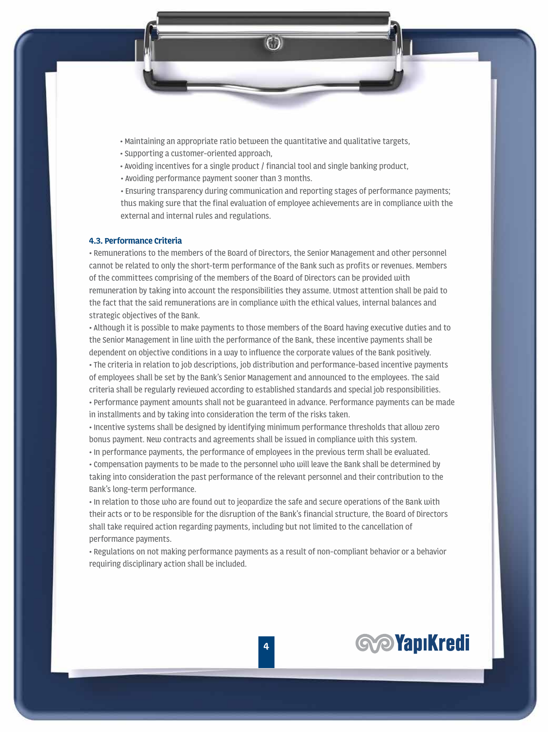- Maintaining an appropriate ratio between the quantitative and qualitative targets,
- Supporting a customer-oriented approach,
- Avoiding incentives for a single product / financial tool and single banking product,
- Avoiding performance payment sooner than 3 months.

 • Ensuring transparency during communication and reporting stages of performance payments; thus making sure that the final evaluation of employee achievements are in compliance with the external and internal rules and regulations.

#### **4.3. Performance Criteria**

• Remunerations to the members of the Board of Directors, the Senior Management and other personnel cannot be related to only the short-term performance of the Bank such as profits or revenues. Members of the committees comprising of the members of the Board of Directors can be provided with remuneration by taking into account the responsibilities they assume. Utmost attention shall be paid to the fact that the said remunerations are in compliance with the ethical values, internal balances and strategic objectives of the Bank.

• Although it is possible to make payments to those members of the Board having executive duties and to the Senior Management in line with the performance of the Bank, these incentive payments shall be dependent on objective conditions in a way to influence the corporate values of the Bank positively. • The criteria in relation to job descriptions, job distribution and performance-based incentive payments of employees shall be set by the Bank's Senior Management and announced to the employees. The said criteria shall be regularly reviewed according to established standards and special job responsibilities. • Performance payment amounts shall not be guaranteed in advance. Performance payments can be made in installments and by taking into consideration the term of the risks taken.

• Incentive systems shall be designed by identifying minimum performance thresholds that allow zero bonus payment. New contracts and agreements shall be issued in compliance with this system.

• In performance payments, the performance of employees in the previous term shall be evaluated.

• Compensation payments to be made to the personnel who will leave the Bank shall be determined by taking into consideration the past performance of the relevant personnel and their contribution to the Bank's long-term performance.

• In relation to those who are found out to jeopardize the safe and secure operations of the Bank with their acts or to be responsible for the disruption of the Bank's financial structure, the Board of Directors shall take required action regarding payments, including but not limited to the cancellation of performance payments.

• Regulations on not making performance payments as a result of non-compliant behavior or a behavior requiring disciplinary action shall be included.